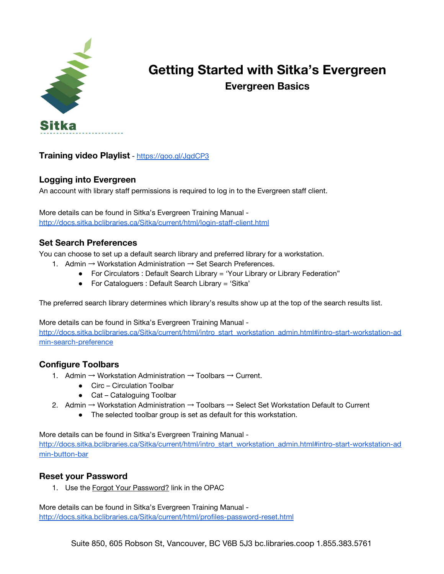

# **Getting Started with Sitka's Evergreen Evergreen Basics**

**Training video Playlist** - <https://goo.gl/JgdCP3>

### **Logging into Evergreen**

An account with library staff permissions is required to log in to the Evergreen staff client.

More details can be found in Sitka's Evergreen Training Manual <http://docs.sitka.bclibraries.ca/Sitka/current/html/login-staff-client.html>

### **Set Search Preferences**

You can choose to set up a default search library and preferred library for a workstation.

- 1. Admin → Workstation Administration → Set Search Preferences.
	- For Circulators : Default Search Library = 'Your Library or Library Federation"
		- For Cataloguers : Default Search Library = 'Sitka'

The preferred search library determines which library's results show up at the top of the search results list.

More details can be found in Sitka's Evergreen Training Manual -

[http://docs.sitka.bclibraries.ca/Sitka/current/html/intro\\_start\\_workstation\\_admin.html#intro-start-workstation-ad](http://docs.sitka.bclibraries.ca/Sitka/current/html/intro_start_workstation_admin.html#intro-start-workstation-admin-search-preference) [min-search-preference](http://docs.sitka.bclibraries.ca/Sitka/current/html/intro_start_workstation_admin.html#intro-start-workstation-admin-search-preference)

## **Configure Toolbars**

- 1. Admin  $\rightarrow$  Workstation Administration  $\rightarrow$  Toolbars  $\rightarrow$  Current.
	- Circ Circulation Toolbar
	- Cat Cataloguing Toolbar
- 2. Admin → Workstation Administration → Toolbars → Select Set Workstation Default to Current
	- The selected toolbar group is set as default for this workstation.

More details can be found in Sitka's Evergreen Training Manual -

[http://docs.sitka.bclibraries.ca/Sitka/current/html/intro\\_start\\_workstation\\_admin.html#intro-start-workstation-ad](http://docs.sitka.bclibraries.ca/Sitka/current/html/intro_start_workstation_admin.html#intro-start-workstation-admin-button-bar) [min-button-bar](http://docs.sitka.bclibraries.ca/Sitka/current/html/intro_start_workstation_admin.html#intro-start-workstation-admin-button-bar)

### **Reset your Password**

1. Use the Forgot Your [Password?](http://docs.sitka.bclibraries.ca/Sitka/current/html/opac-forgot-password.html) link in the OPAC

More details can be found in Sitka's Evergreen Training Manual <http://docs.sitka.bclibraries.ca/Sitka/current/html/profiles-password-reset.html>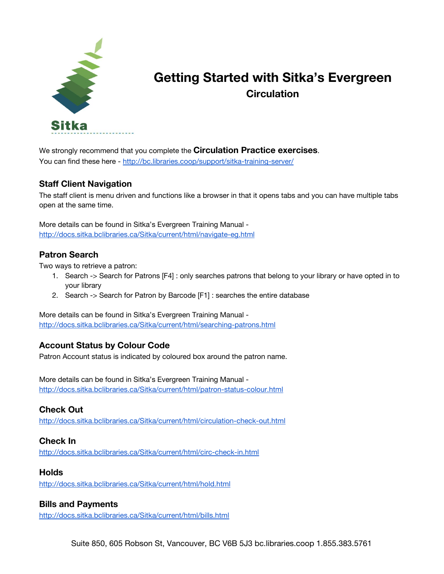

# **Getting Started with Sitka's Evergreen Circulation**

We strongly recommend that you complete the **Circulation Practice exercises**. You can find these here - <http://bc.libraries.coop/support/sitka-training-server/>

## **Staff Client Navigation**

The staff client is menu driven and functions like a browser in that it opens tabs and you can have multiple tabs open at the same time.

More details can be found in Sitka's Evergreen Training Manual <http://docs.sitka.bclibraries.ca/Sitka/current/html/navigate-eg.html>

### **Patron Search**

Two ways to retrieve a patron:

- 1. Search -> Search for Patrons [F4] : only searches patrons that belong to your library or have opted in to your library
- 2. Search -> Search for Patron by Barcode [F1] : searches the entire database

More details can be found in Sitka's Evergreen Training Manual <http://docs.sitka.bclibraries.ca/Sitka/current/html/searching-patrons.html>

## **Account Status by Colour Code**

Patron Account status is indicated by coloured box around the patron name.

More details can be found in Sitka's Evergreen Training Manual <http://docs.sitka.bclibraries.ca/Sitka/current/html/patron-status-colour.html>

## **Check Out**

<http://docs.sitka.bclibraries.ca/Sitka/current/html/circulation-check-out.html>

### **Check In**

<http://docs.sitka.bclibraries.ca/Sitka/current/html/circ-check-in.html>

### **Holds**

<http://docs.sitka.bclibraries.ca/Sitka/current/html/hold.html>

### **Bills and Payments**

<http://docs.sitka.bclibraries.ca/Sitka/current/html/bills.html>